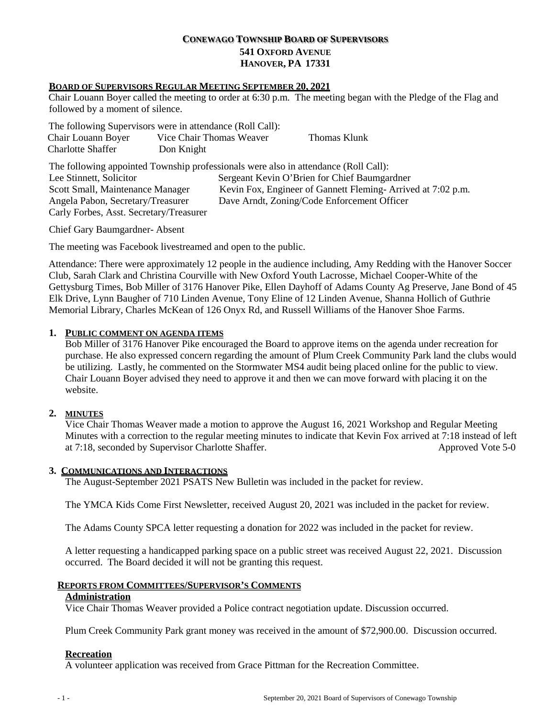# **CONEWAGO TOWNSHIP BOARD OF SUPERVISORS 541 OXFORD AVENUE HANOVER, PA 17331**

### **BOARD OF SUPERVISORS REGULAR MEETING SEPTEMBER 20, 2021**

Chair Louann Boyer called the meeting to order at 6:30 p.m. The meeting began with the Pledge of the Flag and followed by a moment of silence.

| The following Supervisors were in attendance (Roll Call): |                          |              |
|-----------------------------------------------------------|--------------------------|--------------|
| Chair Louann Boyer                                        | Vice Chair Thomas Weaver | Thomas Klunk |
| Charlotte Shaffer                                         | Don Knight               |              |

The following appointed Township professionals were also in attendance (Roll Call):

| Lee Stinnett, Solicitor                 | Sergeant Kevin O'Brien for Chief Baumgardner                |
|-----------------------------------------|-------------------------------------------------------------|
| Scott Small, Maintenance Manager        | Kevin Fox, Engineer of Gannett Fleming-Arrived at 7:02 p.m. |
| Angela Pabon, Secretary/Treasurer       | Dave Arndt, Zoning/Code Enforcement Officer                 |
| Carly Forbes, Asst. Secretary/Treasurer |                                                             |

Chief Gary Baumgardner- Absent

The meeting was Facebook livestreamed and open to the public.

Attendance: There were approximately 12 people in the audience including, Amy Redding with the Hanover Soccer Club, Sarah Clark and Christina Courville with New Oxford Youth Lacrosse, Michael Cooper-White of the Gettysburg Times, Bob Miller of 3176 Hanover Pike, Ellen Dayhoff of Adams County Ag Preserve, Jane Bond of 45 Elk Drive, Lynn Baugher of 710 Linden Avenue, Tony Eline of 12 Linden Avenue, Shanna Hollich of Guthrie Memorial Library, Charles McKean of 126 Onyx Rd, and Russell Williams of the Hanover Shoe Farms.

### **1. PUBLIC COMMENT ON AGENDA ITEMS**

Bob Miller of 3176 Hanover Pike encouraged the Board to approve items on the agenda under recreation for purchase. He also expressed concern regarding the amount of Plum Creek Community Park land the clubs would be utilizing. Lastly, he commented on the Stormwater MS4 audit being placed online for the public to view. Chair Louann Boyer advised they need to approve it and then we can move forward with placing it on the website.

### **2. MINUTES**

Vice Chair Thomas Weaver made a motion to approve the August 16, 2021 Workshop and Regular Meeting Minutes with a correction to the regular meeting minutes to indicate that Kevin Fox arrived at 7:18 instead of left at 7:18, seconded by Supervisor Charlotte Shaffer. Approved Vote 5-0

#### **3. COMMUNICATIONS AND INTERACTIONS**

The August-September 2021 PSATS New Bulletin was included in the packet for review.

The YMCA Kids Come First Newsletter, received August 20, 2021 was included in the packet for review.

The Adams County SPCA letter requesting a donation for 2022 was included in the packet for review.

A letter requesting a handicapped parking space on a public street was received August 22, 2021. Discussion occurred. The Board decided it will not be granting this request.

#### **REPORTS FROM COMMITTEES/SUPERVISOR'S COMMENTS**

## **Administration**

Vice Chair Thomas Weaver provided a Police contract negotiation update. Discussion occurred.

Plum Creek Community Park grant money was received in the amount of \$72,900.00. Discussion occurred.

#### **Recreation**

A volunteer application was received from Grace Pittman for the Recreation Committee.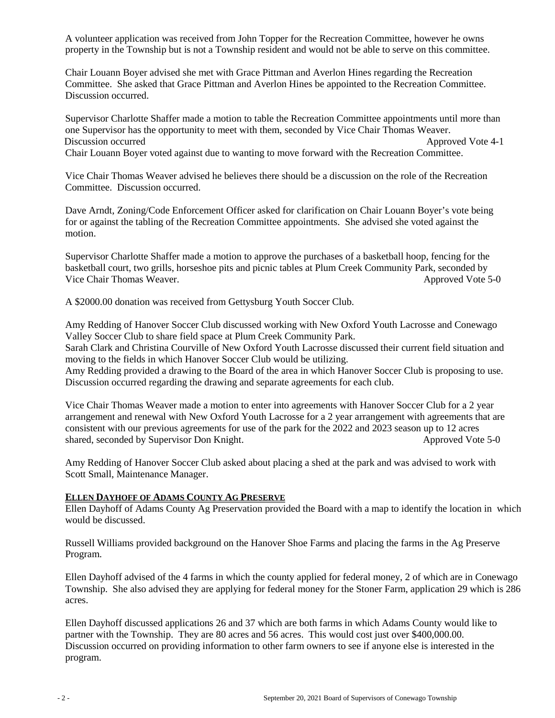A volunteer application was received from John Topper for the Recreation Committee, however he owns property in the Township but is not a Township resident and would not be able to serve on this committee.

Chair Louann Boyer advised she met with Grace Pittman and Averlon Hines regarding the Recreation Committee. She asked that Grace Pittman and Averlon Hines be appointed to the Recreation Committee. Discussion occurred.

Supervisor Charlotte Shaffer made a motion to table the Recreation Committee appointments until more than one Supervisor has the opportunity to meet with them, seconded by Vice Chair Thomas Weaver. Discussion occurred Approved Vote 4-1 Chair Louann Boyer voted against due to wanting to move forward with the Recreation Committee.

Vice Chair Thomas Weaver advised he believes there should be a discussion on the role of the Recreation Committee. Discussion occurred.

Dave Arndt, Zoning/Code Enforcement Officer asked for clarification on Chair Louann Boyer's vote being for or against the tabling of the Recreation Committee appointments. She advised she voted against the motion.

Supervisor Charlotte Shaffer made a motion to approve the purchases of a basketball hoop, fencing for the basketball court, two grills, horseshoe pits and picnic tables at Plum Creek Community Park, seconded by Vice Chair Thomas Weaver. Approved Vote 5-0

A \$2000.00 donation was received from Gettysburg Youth Soccer Club.

Amy Redding of Hanover Soccer Club discussed working with New Oxford Youth Lacrosse and Conewago Valley Soccer Club to share field space at Plum Creek Community Park.

Sarah Clark and Christina Courville of New Oxford Youth Lacrosse discussed their current field situation and moving to the fields in which Hanover Soccer Club would be utilizing.

Amy Redding provided a drawing to the Board of the area in which Hanover Soccer Club is proposing to use. Discussion occurred regarding the drawing and separate agreements for each club.

Vice Chair Thomas Weaver made a motion to enter into agreements with Hanover Soccer Club for a 2 year arrangement and renewal with New Oxford Youth Lacrosse for a 2 year arrangement with agreements that are consistent with our previous agreements for use of the park for the 2022 and 2023 season up to 12 acres shared, seconded by Supervisor Don Knight. Approved Vote 5-0

Amy Redding of Hanover Soccer Club asked about placing a shed at the park and was advised to work with Scott Small, Maintenance Manager.

### **ELLEN DAYHOFF OF ADAMS COUNTY AG PRESERVE**

Ellen Dayhoff of Adams County Ag Preservation provided the Board with a map to identify the location in which would be discussed.

Russell Williams provided background on the Hanover Shoe Farms and placing the farms in the Ag Preserve Program.

Ellen Dayhoff advised of the 4 farms in which the county applied for federal money, 2 of which are in Conewago Township. She also advised they are applying for federal money for the Stoner Farm, application 29 which is 286 acres.

Ellen Dayhoff discussed applications 26 and 37 which are both farms in which Adams County would like to partner with the Township. They are 80 acres and 56 acres. This would cost just over \$400,000.00. Discussion occurred on providing information to other farm owners to see if anyone else is interested in the program.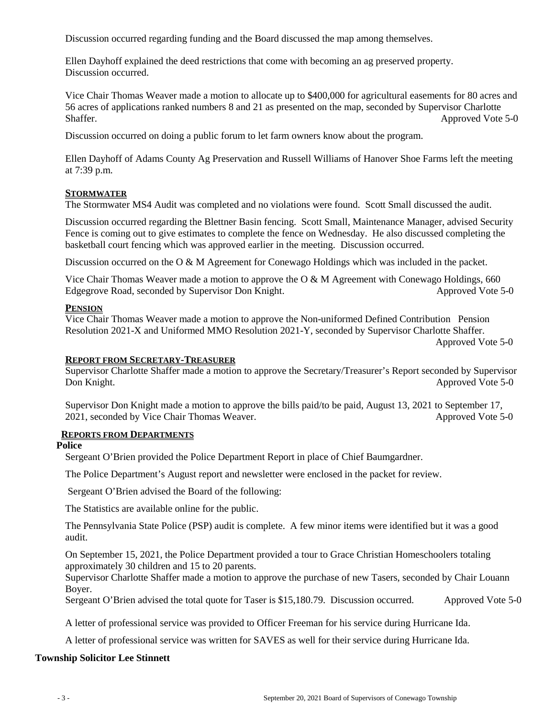Discussion occurred regarding funding and the Board discussed the map among themselves.

Ellen Dayhoff explained the deed restrictions that come with becoming an ag preserved property. Discussion occurred.

Vice Chair Thomas Weaver made a motion to allocate up to \$400,000 for agricultural easements for 80 acres and 56 acres of applications ranked numbers 8 and 21 as presented on the map, seconded by Supervisor Charlotte Shaffer. Approved Vote 5-0

Discussion occurred on doing a public forum to let farm owners know about the program.

Ellen Dayhoff of Adams County Ag Preservation and Russell Williams of Hanover Shoe Farms left the meeting at 7:39 p.m.

### **STORMWATER**

The Stormwater MS4 Audit was completed and no violations were found. Scott Small discussed the audit.

Discussion occurred regarding the Blettner Basin fencing. Scott Small, Maintenance Manager, advised Security Fence is coming out to give estimates to complete the fence on Wednesday. He also discussed completing the basketball court fencing which was approved earlier in the meeting. Discussion occurred.

Discussion occurred on the O & M Agreement for Conewago Holdings which was included in the packet.

Vice Chair Thomas Weaver made a motion to approve the O & M Agreement with Conewago Holdings, 660 Edgegrove Road, seconded by Supervisor Don Knight. Approved Vote 5-0

### **PENSION**

Vice Chair Thomas Weaver made a motion to approve the Non-uniformed Defined Contribution Pension Resolution 2021-X and Uniformed MMO Resolution 2021-Y, seconded by Supervisor Charlotte Shaffer.

Approved Vote 5-0

#### **REPORT FROM SECRETARY-TREASURER**

Supervisor Charlotte Shaffer made a motion to approve the Secretary/Treasurer's Report seconded by Supervisor Don Knight. Approved Vote 5-0

Supervisor Don Knight made a motion to approve the bills paid/to be paid, August 13, 2021 to September 17, 2021, seconded by Vice Chair Thomas Weaver. Approved Vote 5-0

### **REPORTS FROM DEPARTMENTS**

### **Police**

Sergeant O'Brien provided the Police Department Report in place of Chief Baumgardner.

The Police Department's August report and newsletter were enclosed in the packet for review.

Sergeant O'Brien advised the Board of the following:

The Statistics are available online for the public.

The Pennsylvania State Police (PSP) audit is complete.A few minor items were identified but it was a good audit.

On September 15, 2021, the Police Department provided a tour to Grace Christian Homeschoolers totaling approximately 30 children and 15 to 20 parents.

Supervisor Charlotte Shaffer made a motion to approve the purchase of new Tasers, seconded by Chair Louann Boyer.

Sergeant O'Brien advised the total quote for Taser is \$15,180.79. Discussion occurred. Approved Vote 5-0

A letter of professional service was provided to Officer Freeman for his service during Hurricane Ida.

A letter of professional service was written for SAVES as well for their service during Hurricane Ida.

### **Township Solicitor Lee Stinnett**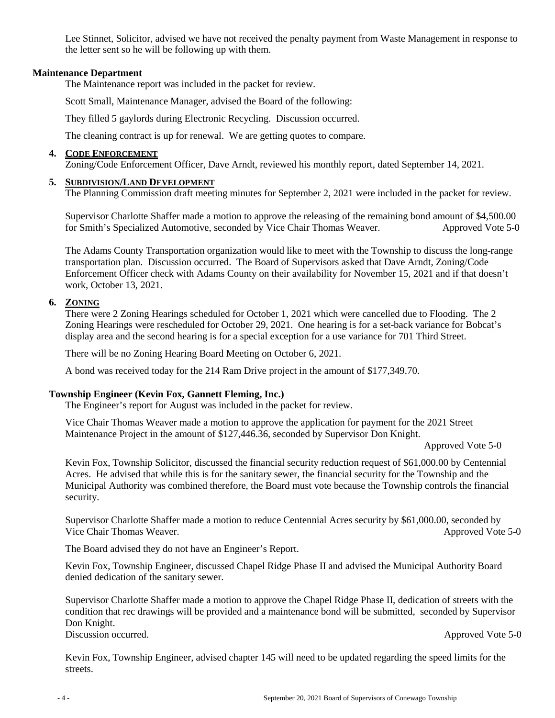Lee Stinnet, Solicitor, advised we have not received the penalty payment from Waste Management in response to the letter sent so he will be following up with them.

### **Maintenance Department**

The Maintenance report was included in the packet for review.

Scott Small, Maintenance Manager, advised the Board of the following:

They filled 5 gaylords during Electronic Recycling. Discussion occurred.

The cleaning contract is up for renewal. We are getting quotes to compare.

## **4. CODE ENFORCEMENT**

Zoning/Code Enforcement Officer, Dave Arndt, reviewed his monthly report, dated September 14, 2021.

## **5. SUBDIVISION/LAND DEVELOPMENT**

The Planning Commission draft meeting minutes for September 2, 2021 were included in the packet for review.

Supervisor Charlotte Shaffer made a motion to approve the releasing of the remaining bond amount of \$4,500.00 for Smith's Specialized Automotive, seconded by Vice Chair Thomas Weaver. Approved Vote 5-0

The Adams County Transportation organization would like to meet with the Township to discuss the long-range transportation plan. Discussion occurred. The Board of Supervisors asked that Dave Arndt, Zoning/Code Enforcement Officer check with Adams County on their availability for November 15, 2021 and if that doesn't work, October 13, 2021.

## **6. ZONING**

There were 2 Zoning Hearings scheduled for October 1, 2021 which were cancelled due to Flooding. The 2 Zoning Hearings were rescheduled for October 29, 2021. One hearing is for a set-back variance for Bobcat's display area and the second hearing is for a special exception for a use variance for 701 Third Street.

There will be no Zoning Hearing Board Meeting on October 6, 2021.

A bond was received today for the 214 Ram Drive project in the amount of \$177,349.70.

## **Township Engineer (Kevin Fox, Gannett Fleming, Inc.)**

The Engineer's report for August was included in the packet for review.

Vice Chair Thomas Weaver made a motion to approve the application for payment for the 2021 Street Maintenance Project in the amount of \$127,446.36, seconded by Supervisor Don Knight.

Approved Vote 5-0

Kevin Fox, Township Solicitor, discussed the financial security reduction request of \$61,000.00 by Centennial Acres. He advised that while this is for the sanitary sewer, the financial security for the Township and the Municipal Authority was combined therefore, the Board must vote because the Township controls the financial security.

Supervisor Charlotte Shaffer made a motion to reduce Centennial Acres security by \$61,000.00, seconded by Vice Chair Thomas Weaver. Approved Vote 5-0

The Board advised they do not have an Engineer's Report.

Kevin Fox, Township Engineer, discussed Chapel Ridge Phase II and advised the Municipal Authority Board denied dedication of the sanitary sewer.

Supervisor Charlotte Shaffer made a motion to approve the Chapel Ridge Phase II, dedication of streets with the condition that rec drawings will be provided and a maintenance bond will be submitted, seconded by Supervisor Don Knight. Discussion occurred. Approved Vote 5-0

Kevin Fox, Township Engineer, advised chapter 145 will need to be updated regarding the speed limits for the streets.